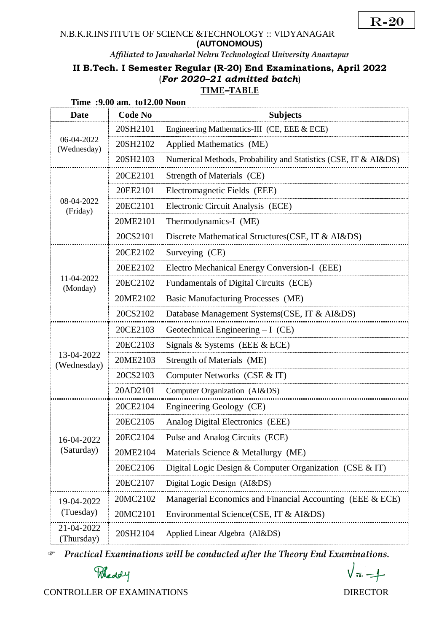R-20

#### N.B.K.R.INSTITUTE OF SCIENCE &TECHNOLOGY :: VIDYANAGAR **(AUTONOMOUS)**

*Affiliated to Jawaharlal Nehru Technological University Anantapur*

# **II B.Tech. I Semester Regular (R-20) End Examinations, April 2022** (*For 2020–21 admitted batch*) **TIME***–***TABLE**

| Time : 9.00 am. to 12.00 Noon |                |                                                                 |  |  |
|-------------------------------|----------------|-----------------------------------------------------------------|--|--|
| <b>Date</b>                   | <b>Code No</b> | <b>Subjects</b>                                                 |  |  |
| 06-04-2022<br>(Wednesday)     | 20SH2101       | Engineering Mathematics-III (CE, EEE & ECE)                     |  |  |
|                               | 20SH2102       | Applied Mathematics (ME)                                        |  |  |
|                               | 20SH2103       | Numerical Methods, Probability and Statistics (CSE, IT & AI&DS) |  |  |
| 08-04-2022<br>(Friday)        | 20CE2101       | Strength of Materials (CE)                                      |  |  |
|                               | 20EE2101       | Electromagnetic Fields (EEE)                                    |  |  |
|                               | 20EC2101       | Electronic Circuit Analysis (ECE)                               |  |  |
|                               | 20ME2101       | Thermodynamics-I (ME)                                           |  |  |
|                               | 20CS2101       | Discrete Mathematical Structures (CSE, IT & AI&DS)              |  |  |
|                               | 20CE2102       | Surveying (CE)                                                  |  |  |
|                               | 20EE2102       | Electro Mechanical Energy Conversion-I (EEE)                    |  |  |
| 11-04-2022<br>(Monday)        | 20EC2102       | Fundamentals of Digital Circuits (ECE)                          |  |  |
|                               | 20ME2102       | Basic Manufacturing Processes (ME)                              |  |  |
|                               | 20CS2102       | Database Management Systems(CSE, IT & AI&DS)                    |  |  |
|                               | 20CE2103       | Geotechnical Engineering $-I$ (CE)                              |  |  |
|                               | 20EC2103       | Signals & Systems (EEE & ECE)                                   |  |  |
| 13-04-2022<br>(Wednesday)     | 20ME2103       | Strength of Materials (ME)                                      |  |  |
|                               | 20CS2103       | Computer Networks (CSE & IT)                                    |  |  |
|                               | 20AD2101       | Computer Organization (AI&DS)                                   |  |  |
|                               | 20CE2104       | Engineering Geology (CE)                                        |  |  |
| 16-04-2022<br>(Saturday)      | 20EC2105       | Analog Digital Electronics (EEE)                                |  |  |
|                               | 20EC2104       | Pulse and Analog Circuits (ECE)                                 |  |  |
|                               | 20ME2104       | Materials Science & Metallurgy (ME)                             |  |  |
|                               | 20EC2106       | Digital Logic Design & Computer Organization (CSE & IT)         |  |  |
|                               | 20EC2107       | Digital Logic Design (AI&DS)                                    |  |  |
| 19-04-2022<br>(Tuesday)       | 20MC2102       | Managerial Economics and Financial Accounting (EEE & ECE)       |  |  |
|                               | 20MC2101       | Environmental Science (CSE, IT & AI&DS)                         |  |  |
| 21-04-2022<br>(Thursday)      | 20SH2104       | Applied Linear Algebra (AI&DS)                                  |  |  |

*Practical Examinations will be conducted after the Theory End Examinations.* 

Meddy

CONTROLLER OF EXAMINATIONS DIRECTOR

 $\sqrt{\pi}-1$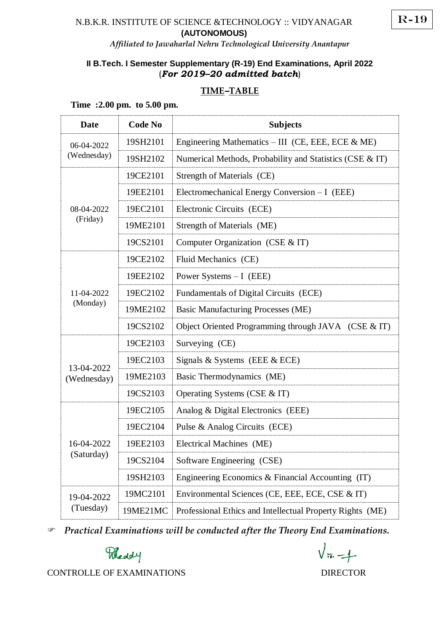## N.B.K.R. INSTITUTE OF SCIENCE &TECHNOLOGY :: VIDYANAGAR **(AUTONOMOUS)**

# **II B.Tech. I Semester Supplementary (R-19) End Examinations, April 2022** (*For 2019–20 admitted batch*)

# **TIME***–***TABLE**

#### **Time :2.00 pm. to 5.00 pm.**

| <b>Date</b>               | <b>Code No</b> | <b>Subjects</b>                                           |
|---------------------------|----------------|-----------------------------------------------------------|
| 06-04-2022<br>(Wednesday) | 19SH2101       | Engineering Mathematics – III (CE, EEE, ECE $\&$ ME)      |
|                           | 19SH2102       | Numerical Methods, Probability and Statistics (CSE & IT)  |
| 08-04-2022<br>(Friday)    | 19CE2101       | Strength of Materials (CE)                                |
|                           | 19EE2101       | Electromechanical Energy Conversion - I (EEE)             |
|                           | 19EC2101       | Electronic Circuits (ECE)                                 |
|                           | 19ME2101       | Strength of Materials (ME)                                |
|                           | 19CS2101       | Computer Organization (CSE & IT)                          |
|                           | 19CE2102       | Fluid Mechanics (CE)                                      |
|                           | 19EE2102       | Power Systems $-I$ (EEE)                                  |
| 11-04-2022                | 19EC2102       | Fundamentals of Digital Circuits (ECE)                    |
| (Monday)                  | 19ME2102       | <b>Basic Manufacturing Processes (ME)</b>                 |
|                           | 19CS2102       | Object Oriented Programming through JAVA (CSE & IT)       |
| 13-04-2022<br>(Wednesday) | 19CE2103       | Surveying (CE)                                            |
|                           | 19EC2103       | Signals & Systems (EEE & ECE)                             |
|                           | 19ME2103       | Basic Thermodynamics (ME)                                 |
|                           | 19CS2103       | Operating Systems (CSE & IT)                              |
|                           | 19EC2105       | Analog & Digital Electronics (EEE)                        |
| 16-04-2022<br>(Saturday)  | 19EC2104       | Pulse & Analog Circuits (ECE)                             |
|                           | 19EE2103       | Electrical Machines (ME)                                  |
|                           | 19CS2104       | Software Engineering (CSE)                                |
|                           | 19SH2103       | Engineering Economics & Financial Accounting (IT)         |
| 19-04-2022<br>(Tuesday)   | 19MC2101       | Environmental Sciences (CE, EEE, ECE, CSE & IT)           |
|                           | 19ME21MC       | Professional Ethics and Intellectual Property Rights (ME) |

*Practical Examinations will be conducted after the Theory End Examinations.* 

Meddy

CONTROLLE OF EXAMINATIONS DIRECTOR

 $\sqrt{\pi} - 1$